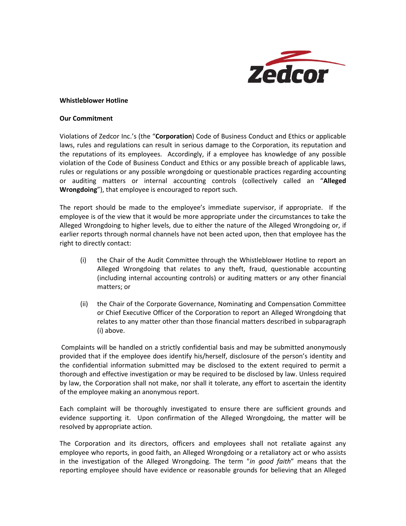

## **Whistleblower Hotline**

## **Our Commitment**

Violations of Zedcor Inc.'s (the "**Corporation**) Code of Business Conduct and Ethics or applicable laws, rules and regulations can result in serious damage to the Corporation, its reputation and the reputations of its employees. Accordingly, if a employee has knowledge of any possible violation of the Code of Business Conduct and Ethics or any possible breach of applicable laws, rules or regulations or any possible wrongdoing or questionable practices regarding accounting or auditing matters or internal accounting controls (collectively called an "**Alleged Wrongdoing**"), that employee is encouraged to report such.

The report should be made to the employee's immediate supervisor, if appropriate. If the employee is of the view that it would be more appropriate under the circumstances to take the Alleged Wrongdoing to higher levels, due to either the nature of the Alleged Wrongdoing or, if earlier reports through normal channels have not been acted upon, then that employee has the right to directly contact:

- (i) the Chair of the Audit Committee through the Whistleblower Hotline to report an Alleged Wrongdoing that relates to any theft, fraud, questionable accounting (including internal accounting controls) or auditing matters or any other financial matters; or
- (ii) the Chair of the Corporate Governance, Nominating and Compensation Committee or Chief Executive Officer of the Corporation to report an Alleged Wrongdoing that relates to any matter other than those financial matters described in subparagraph (i) above.

Complaints will be handled on a strictly confidential basis and may be submitted anonymously provided that if the employee does identify his/herself, disclosure of the person's identity and the confidential information submitted may be disclosed to the extent required to permit a thorough and effective investigation or may be required to be disclosed by law. Unless required by law, the Corporation shall not make, nor shall it tolerate, any effort to ascertain the identity of the employee making an anonymous report.

Each complaint will be thoroughly investigated to ensure there are sufficient grounds and evidence supporting it. Upon confirmation of the Alleged Wrongdoing, the matter will be resolved by appropriate action.

The Corporation and its directors, officers and employees shall not retaliate against any employee who reports, in good faith, an Alleged Wrongdoing or a retaliatory act or who assists in the investigation of the Alleged Wrongdoing. The term "*in good faith*" means that the reporting employee should have evidence or reasonable grounds for believing that an Alleged